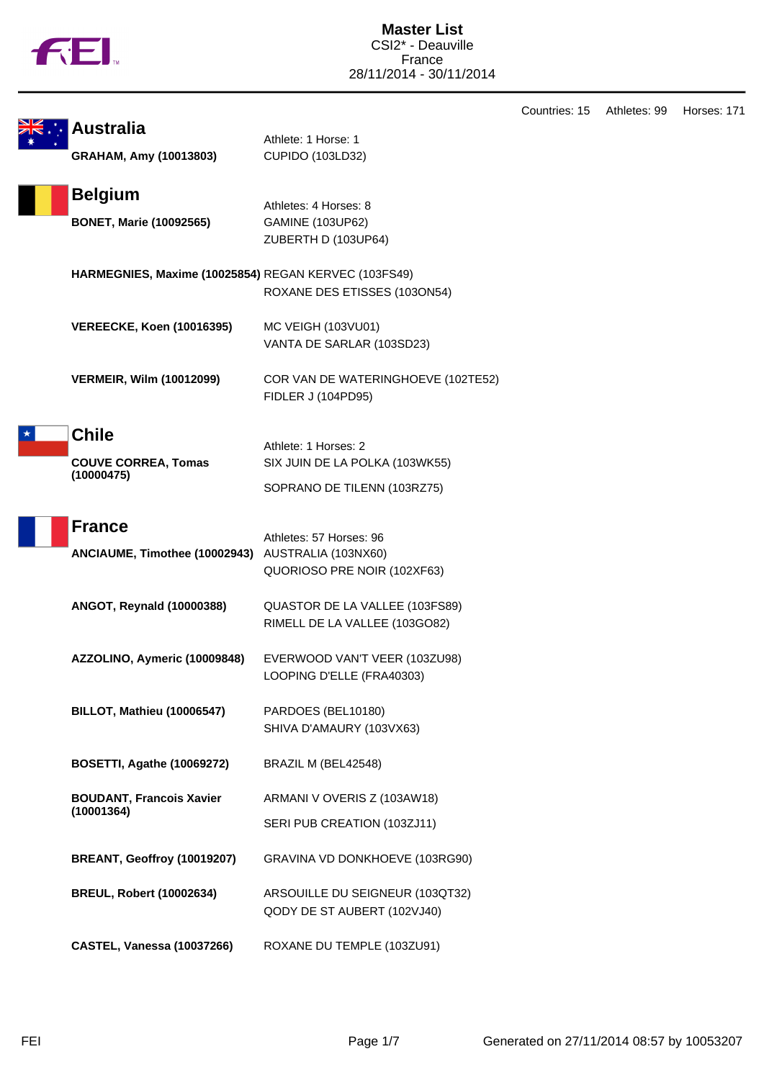|  |  | N |
|--|--|---|
|  |  |   |

|                                                      |                                    | Countries: 15 | Athletes: 99 | Horses: 171 |
|------------------------------------------------------|------------------------------------|---------------|--------------|-------------|
| <b>Australia</b>                                     | Athlete: 1 Horse: 1                |               |              |             |
| GRAHAM, Amy (10013803)                               | CUPIDO (103LD32)                   |               |              |             |
|                                                      |                                    |               |              |             |
| <b>Belgium</b>                                       | Athletes: 4 Horses: 8              |               |              |             |
| <b>BONET, Marie (10092565)</b>                       | <b>GAMINE (103UP62)</b>            |               |              |             |
|                                                      | ZUBERTH D (103UP64)                |               |              |             |
|                                                      |                                    |               |              |             |
| HARMEGNIES, Maxime (10025854) REGAN KERVEC (103FS49) |                                    |               |              |             |
|                                                      | ROXANE DES ETISSES (103ON54)       |               |              |             |
| <b>VEREECKE, Koen (10016395)</b>                     | MC VEIGH (103VU01)                 |               |              |             |
|                                                      | VANTA DE SARLAR (103SD23)          |               |              |             |
|                                                      |                                    |               |              |             |
| <b>VERMEIR, Wilm (10012099)</b>                      | COR VAN DE WATERINGHOEVE (102TE52) |               |              |             |
|                                                      | FIDLER J (104PD95)                 |               |              |             |
|                                                      |                                    |               |              |             |
| <b>Chile</b>                                         | Athlete: 1 Horses: 2               |               |              |             |
| <b>COUVE CORREA, Tomas</b>                           | SIX JUIN DE LA POLKA (103WK55)     |               |              |             |
| (10000475)                                           |                                    |               |              |             |
|                                                      | SOPRANO DE TILENN (103RZ75)        |               |              |             |
|                                                      |                                    |               |              |             |
| <b>France</b>                                        | Athletes: 57 Horses: 96            |               |              |             |
| ANCIAUME, Timothee (10002943) AUSTRALIA (103NX60)    |                                    |               |              |             |
|                                                      | QUORIOSO PRE NOIR (102XF63)        |               |              |             |
| ANGOT, Reynald (10000388)                            | QUASTOR DE LA VALLEE (103FS89)     |               |              |             |
|                                                      | RIMELL DE LA VALLEE (103GO82)      |               |              |             |
|                                                      |                                    |               |              |             |
| AZZOLINO, Aymeric (10009848)                         | EVERWOOD VAN'T VEER (103ZU98)      |               |              |             |
|                                                      | LOOPING D'ELLE (FRA40303)          |               |              |             |
|                                                      |                                    |               |              |             |
| <b>BILLOT, Mathieu (10006547)</b>                    | PARDOES (BEL10180)                 |               |              |             |
|                                                      | SHIVA D'AMAURY (103VX63)           |               |              |             |
| <b>BOSETTI, Agathe (10069272)</b>                    | BRAZIL M (BEL42548)                |               |              |             |
|                                                      |                                    |               |              |             |
| <b>BOUDANT, Francois Xavier</b>                      | ARMANI V OVERIS Z (103AW18)        |               |              |             |
| (10001364)                                           | SERI PUB CREATION (103ZJ11)        |               |              |             |
|                                                      |                                    |               |              |             |
| BREANT, Geoffroy (10019207)                          | GRAVINA VD DONKHOEVE (103RG90)     |               |              |             |
|                                                      |                                    |               |              |             |
| <b>BREUL, Robert (10002634)</b>                      | ARSOUILLE DU SEIGNEUR (103QT32)    |               |              |             |
|                                                      | QODY DE ST AUBERT (102VJ40)        |               |              |             |
| CASTEL, Vanessa (10037266)                           | ROXANE DU TEMPLE (103ZU91)         |               |              |             |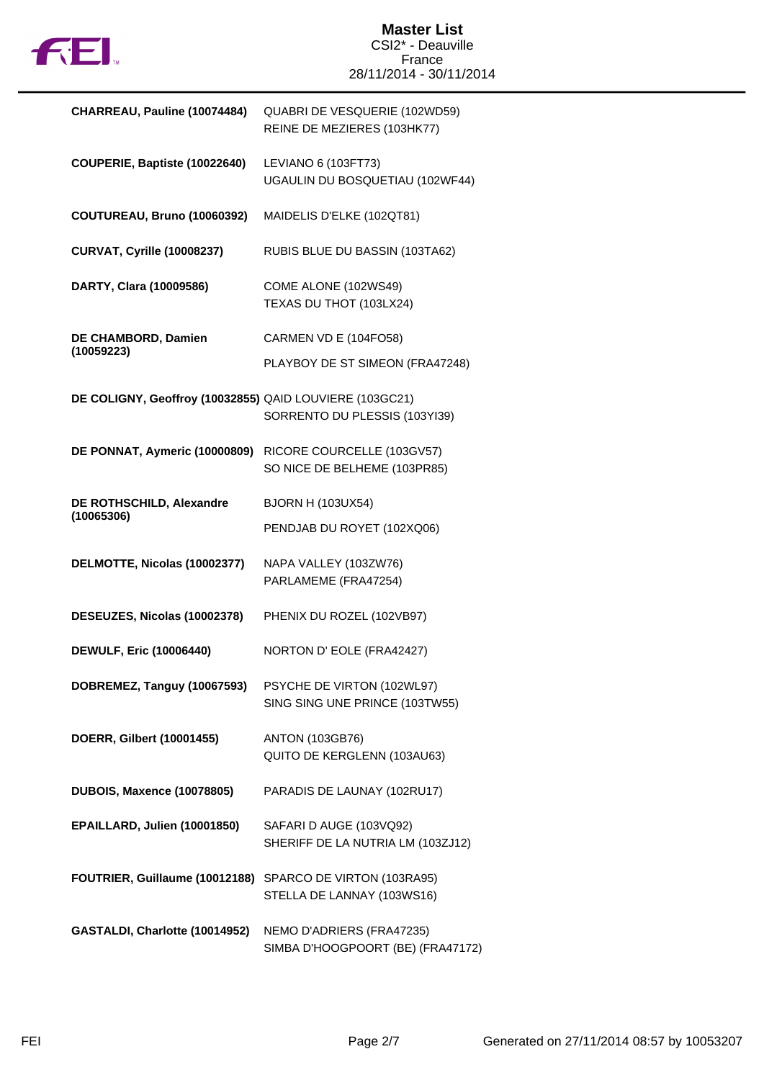

## **Master List** CSI2\* - Deauville France 28/11/2014 - 30/11/2014

| CHARREAU, Pauline (10074484)                              | QUABRI DE VESQUERIE (102WD59)<br>REINE DE MEZIERES (103HK77)   |
|-----------------------------------------------------------|----------------------------------------------------------------|
| COUPERIE, Baptiste (10022640)                             | LEVIANO 6 (103FT73)<br>UGAULIN DU BOSQUETIAU (102WF44)         |
| COUTUREAU, Bruno (10060392)                               | MAIDELIS D'ELKE (102QT81)                                      |
| <b>CURVAT, Cyrille (10008237)</b>                         | RUBIS BLUE DU BASSIN (103TA62)                                 |
| DARTY, Clara (10009586)                                   | COME ALONE (102WS49)<br>TEXAS DU THOT (103LX24)                |
| DE CHAMBORD, Damien<br>(10059223)                         | CARMEN VD E (104FO58)                                          |
|                                                           | PLAYBOY DE ST SIMEON (FRA47248)                                |
| DE COLIGNY, Geoffroy (10032855) QAID LOUVIERE (103GC21)   | SORRENTO DU PLESSIS (103YI39)                                  |
| DE PONNAT, Aymeric (10000809)                             | RICORE COURCELLE (103GV57)<br>SO NICE DE BELHEME (103PR85)     |
| DE ROTHSCHILD, Alexandre<br>(10065306)                    | <b>BJORN H (103UX54)</b>                                       |
|                                                           | PENDJAB DU ROYET (102XQ06)                                     |
| DELMOTTE, Nicolas (10002377)                              | NAPA VALLEY (103ZW76)<br>PARLAMEME (FRA47254)                  |
| DESEUZES, Nicolas (10002378)                              | PHENIX DU ROZEL (102VB97)                                      |
| <b>DEWULF, Eric (10006440)</b>                            | NORTON D' EOLE (FRA42427)                                      |
| DOBREMEZ, Tanguy (10067593)                               | PSYCHE DE VIRTON (102WL97)<br>SING SING UNE PRINCE (103TW55)   |
| DOERR, Gilbert (10001455)                                 | <b>ANTON (103GB76)</b><br>QUITO DE KERGLENN (103AU63)          |
| <b>DUBOIS, Maxence (10078805)</b>                         | PARADIS DE LAUNAY (102RU17)                                    |
| EPAILLARD, Julien (10001850)                              | SAFARI D AUGE (103VQ92)<br>SHERIFF DE LA NUTRIA LM (103ZJ12)   |
| FOUTRIER, Guillaume (10012188) SPARCO DE VIRTON (103RA95) | STELLA DE LANNAY (103WS16)                                     |
| GASTALDI, Charlotte (10014952)                            | NEMO D'ADRIERS (FRA47235)<br>SIMBA D'HOOGPOORT (BE) (FRA47172) |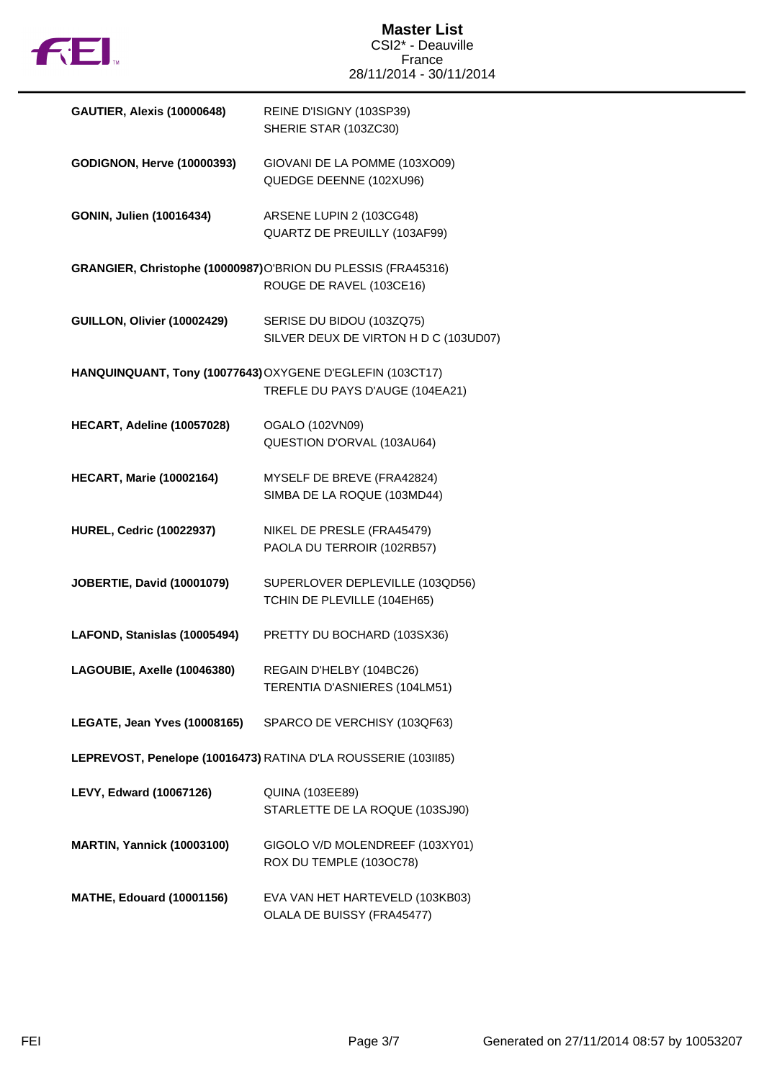

| <b>GAUTIER, Alexis (10000648)</b>                              | REINE D'ISIGNY (103SP39)<br>SHERIE STAR (103ZC30)                                            |  |
|----------------------------------------------------------------|----------------------------------------------------------------------------------------------|--|
| <b>GODIGNON, Herve (10000393)</b>                              | GIOVANI DE LA POMME (103XO09)<br>QUEDGE DEENNE (102XU96)                                     |  |
| GONIN, Julien (10016434)                                       | ARSENE LUPIN 2 (103CG48)<br>QUARTZ DE PREUILLY (103AF99)                                     |  |
|                                                                | GRANGIER, Christophe (10000987)O'BRION DU PLESSIS (FRA45316)<br>ROUGE DE RAVEL (103CE16)     |  |
| GUILLON, Olivier (10002429)                                    | SERISE DU BIDOU (103ZQ75)<br>SILVER DEUX DE VIRTON H D C (103UD07)                           |  |
|                                                                | HANQUINQUANT, Tony (10077643) OXYGENE D'EGLEFIN (103CT17)<br>TREFLE DU PAYS D'AUGE (104EA21) |  |
| HECART, Adeline (10057028)                                     | OGALO (102VN09)<br>QUESTION D'ORVAL (103AU64)                                                |  |
| <b>HECART, Marie (10002164)</b>                                | MYSELF DE BREVE (FRA42824)<br>SIMBA DE LA ROQUE (103MD44)                                    |  |
| <b>HUREL, Cedric (10022937)</b>                                | NIKEL DE PRESLE (FRA45479)<br>PAOLA DU TERROIR (102RB57)                                     |  |
| <b>JOBERTIE, David (10001079)</b>                              | SUPERLOVER DEPLEVILLE (103QD56)<br>TCHIN DE PLEVILLE (104EH65)                               |  |
| LAFOND, Stanislas (10005494)                                   | PRETTY DU BOCHARD (103SX36)                                                                  |  |
| LAGOUBIE, Axelle (10046380)                                    | REGAIN D'HELBY (104BC26)<br>TERENTIA D'ASNIERES (104LM51)                                    |  |
| LEGATE, Jean Yves (10008165)                                   | SPARCO DE VERCHISY (103QF63)                                                                 |  |
| LEPREVOST, Penelope (10016473) RATINA D'LA ROUSSERIE (103II85) |                                                                                              |  |
| LEVY, Edward (10067126)                                        | <b>QUINA (103EE89)</b><br>STARLETTE DE LA ROQUE (103SJ90)                                    |  |
| <b>MARTIN, Yannick (10003100)</b>                              | GIGOLO V/D MOLENDREEF (103XY01)<br>ROX DU TEMPLE (103OC78)                                   |  |
| <b>MATHE, Edouard (10001156)</b>                               | EVA VAN HET HARTEVELD (103KB03)<br>OLALA DE BUISSY (FRA45477)                                |  |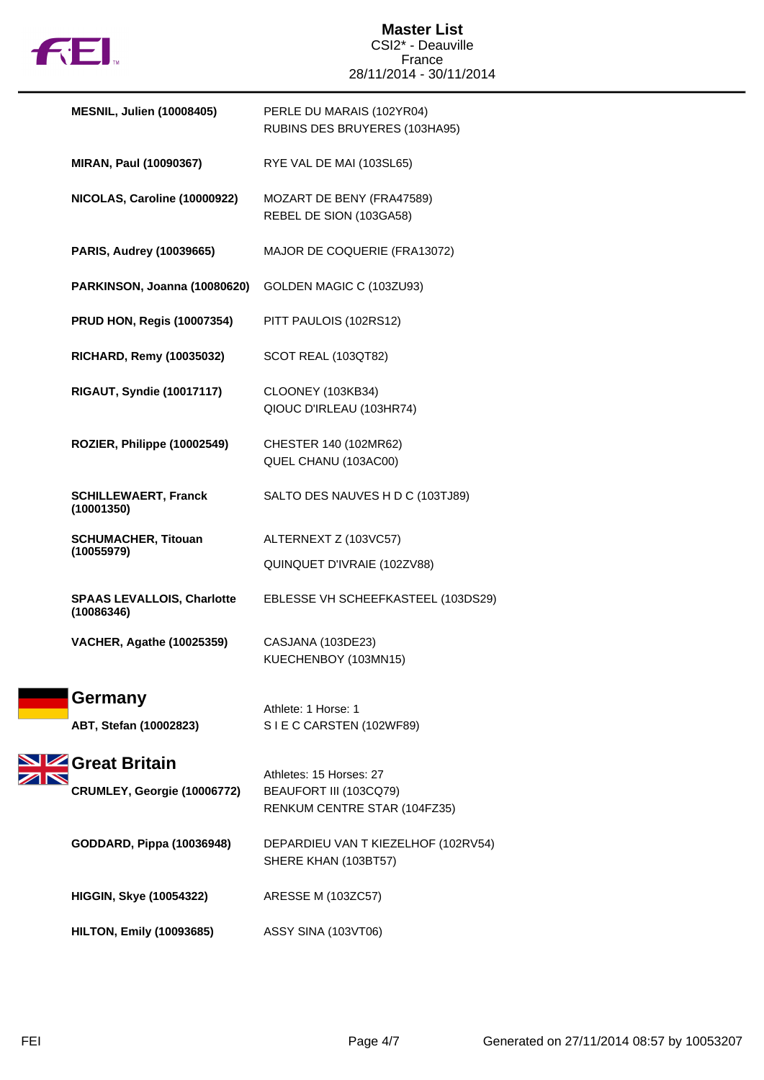

## **Master List** CSI2\* - Deauville France 28/11/2014 - 30/11/2014

| <b>MESNIL, Julien (10008405)</b>                | PERLE DU MARAIS (102YR04)<br>RUBINS DES BRUYERES (103HA95)                        |
|-------------------------------------------------|-----------------------------------------------------------------------------------|
| MIRAN, Paul (10090367)                          | RYE VAL DE MAI (103SL65)                                                          |
| NICOLAS, Caroline (10000922)                    | MOZART DE BENY (FRA47589)<br>REBEL DE SION (103GA58)                              |
| PARIS, Audrey (10039665)                        | MAJOR DE COQUERIE (FRA13072)                                                      |
| PARKINSON, Joanna (10080620)                    | GOLDEN MAGIC C (103ZU93)                                                          |
| <b>PRUD HON, Regis (10007354)</b>               | PITT PAULOIS (102RS12)                                                            |
| <b>RICHARD, Remy (10035032)</b>                 | SCOT REAL (103QT82)                                                               |
| <b>RIGAUT, Syndie (10017117)</b>                | CLOONEY (103KB34)<br>QIOUC D'IRLEAU (103HR74)                                     |
| ROZIER, Philippe (10002549)                     | CHESTER 140 (102MR62)<br>QUEL CHANU (103AC00)                                     |
| <b>SCHILLEWAERT, Franck</b><br>(10001350)       | SALTO DES NAUVES H D C (103TJ89)                                                  |
| <b>SCHUMACHER, Titouan</b><br>(10055979)        | ALTERNEXT Z (103VC57)                                                             |
|                                                 | QUINQUET D'IVRAIE (102ZV88)                                                       |
| <b>SPAAS LEVALLOIS, Charlotte</b><br>(10086346) | EBLESSE VH SCHEEFKASTEEL (103DS29)                                                |
| <b>VACHER, Agathe (10025359)</b>                | CASJANA (103DE23)<br>KUECHENBOY (103MN15)                                         |
| Germany<br>ABT, Stefan (10002823)               | Athlete: 1 Horse: 1<br>SIE C CARSTEN (102WF89)                                    |
| Great Britain<br>CRUMLEY, Georgie (10006772)    | Athletes: 15 Horses: 27<br>BEAUFORT III (103CQ79)<br>RENKUM CENTRE STAR (104FZ35) |
| GODDARD, Pippa (10036948)                       | DEPARDIEU VAN T KIEZELHOF (102RV54)<br>SHERE KHAN (103BT57)                       |
| <b>HIGGIN, Skye (10054322)</b>                  | ARESSE M (103ZC57)                                                                |
| <b>HILTON, Emily (10093685)</b>                 | ASSY SINA (103VT06)                                                               |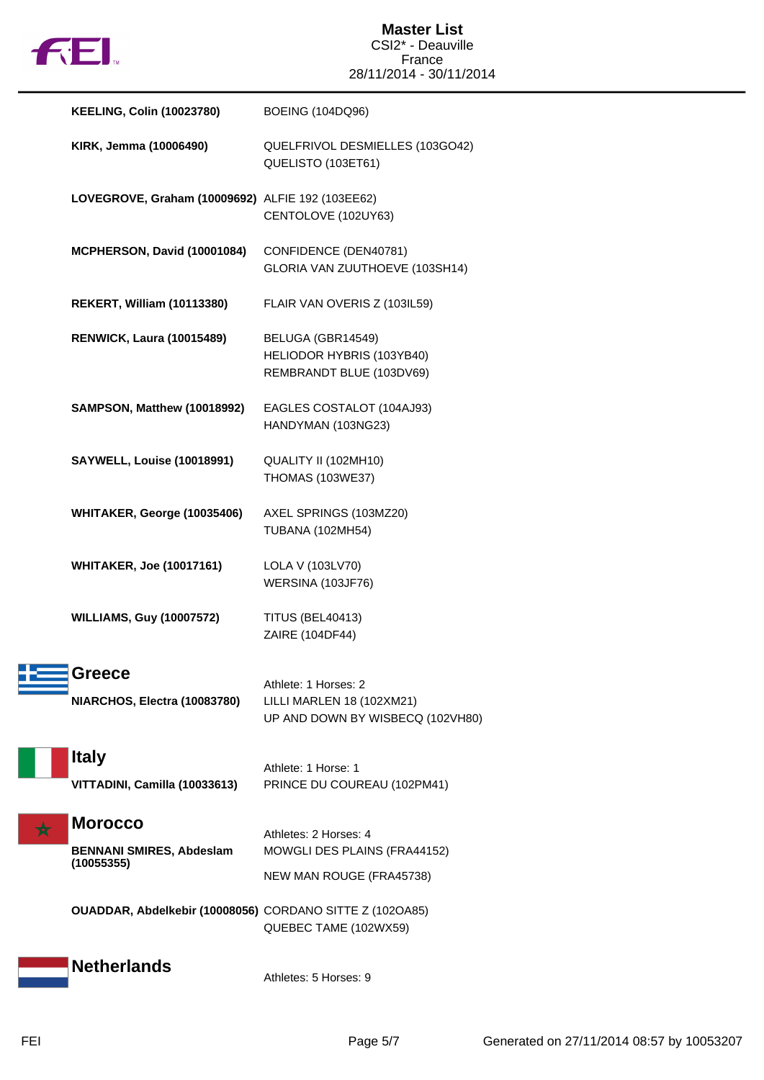

| <b>KEELING, Colin (10023780)</b>                                | <b>BOEING (104DQ96)</b>                                                                                       |
|-----------------------------------------------------------------|---------------------------------------------------------------------------------------------------------------|
| KIRK, Jemma (10006490)                                          | QUELFRIVOL DESMIELLES (103GO42)<br>QUELISTO (103ET61)                                                         |
| LOVEGROVE, Graham (10009692) ALFIE 192 (103EE62)                | CENTOLOVE (102UY63)                                                                                           |
| MCPHERSON, David (10001084)                                     | CONFIDENCE (DEN40781)<br>GLORIA VAN ZUUTHOEVE (103SH14)                                                       |
| <b>REKERT, William (10113380)</b>                               | FLAIR VAN OVERIS Z (103IL59)                                                                                  |
| <b>RENWICK, Laura (10015489)</b>                                | BELUGA (GBR14549)<br>HELIODOR HYBRIS (103YB40)<br>REMBRANDT BLUE (103DV69)                                    |
| SAMPSON, Matthew (10018992)                                     | EAGLES COSTALOT (104AJ93)<br>HANDYMAN (103NG23)                                                               |
| <b>SAYWELL, Louise (10018991)</b>                               | QUALITY II (102MH10)<br><b>THOMAS (103WE37)</b>                                                               |
| WHITAKER, George (10035406)                                     | AXEL SPRINGS (103MZ20)<br><b>TUBANA (102MH54)</b>                                                             |
| <b>WHITAKER, Joe (10017161)</b>                                 | LOLA V (103LV70)<br>WERSINA (103JF76)                                                                         |
| <b>WILLIAMS, Guy (10007572)</b>                                 | <b>TITUS (BEL40413)</b><br>ZAIRE (104DF44)                                                                    |
| <b>Greece</b><br>NIARCHOS, Electra (10083780)                   | Athlete: 1 Horses: 2<br>LILLI MARLEN 18 (102XM21)<br>UP AND DOWN BY WISBECQ (102VH80)                         |
| <b>Italy</b><br>VITTADINI, Camilla (10033613)                   | Athlete: 1 Horse: 1<br>PRINCE DU COUREAU (102PM41)                                                            |
| <b>Morocco</b><br><b>BENNANI SMIRES, Abdeslam</b><br>(10055355) | Athletes: 2 Horses: 4<br>MOWGLI DES PLAINS (FRA44152)                                                         |
|                                                                 | NEW MAN ROUGE (FRA45738)<br>OUADDAR, Abdelkebir (10008056) CORDANO SITTE Z (102OA85)<br>QUEBEC TAME (102WX59) |
| <b>Netherlands</b>                                              | Athletes: 5 Horses: 9                                                                                         |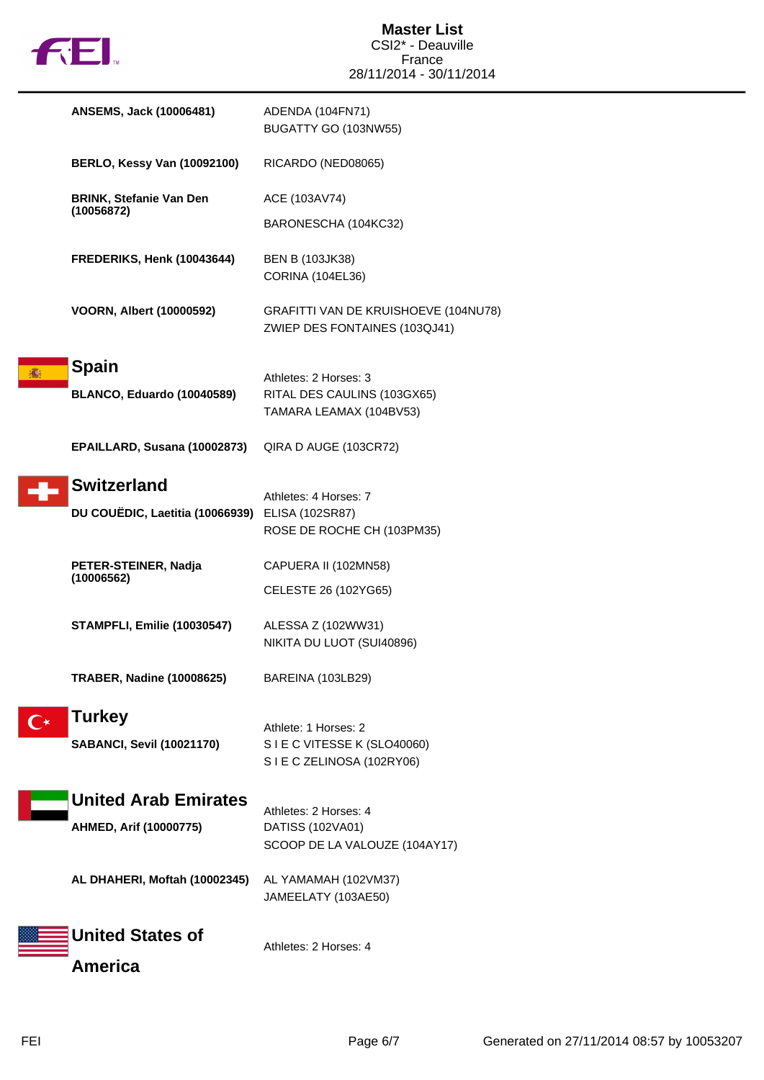

| ANSEMS, Jack (10006481)                                               | ADENDA (104FN71)<br>BUGATTY GO (103NW55)                                        |
|-----------------------------------------------------------------------|---------------------------------------------------------------------------------|
| <b>BERLO, Kessy Van (10092100)</b>                                    | RICARDO (NED08065)                                                              |
| <b>BRINK, Stefanie Van Den</b><br>(10056872)                          | ACE (103AV74)<br>BARONESCHA (104KC32)                                           |
| FREDERIKS, Henk (10043644)                                            | <b>BEN B (103JK38)</b><br><b>CORINA (104EL36)</b>                               |
| <b>VOORN, Albert (10000592)</b>                                       | GRAFITTI VAN DE KRUISHOEVE (104NU78)<br>ZWIEP DES FONTAINES (103QJ41)           |
| <b>Spain</b><br>BLANCO, Eduardo (10040589)                            | Athletes: 2 Horses: 3<br>RITAL DES CAULINS (103GX65)<br>TAMARA LEAMAX (104BV53) |
| EPAILLARD, Susana (10002873)                                          | QIRA D AUGE (103CR72)                                                           |
| <b>Switzerland</b><br>DU COUËDIC, Laetitia (10066939) ELISA (102SR87) | Athletes: 4 Horses: 7<br>ROSE DE ROCHE CH (103PM35)                             |
| PETER-STEINER, Nadja<br>(10006562)                                    | CAPUERA II (102MN58)<br>CELESTE 26 (102YG65)                                    |
| <b>STAMPFLI, Emilie (10030547)</b>                                    | ALESSA Z (102WW31)<br>NIKITA DU LUOT (SUI40896)                                 |
| TRABER, Nadine (10008625)                                             | BAREINA (103LB29)                                                               |
| <b>Turkey</b><br><b>SABANCI, Sevil (10021170)</b>                     | Athlete: 1 Horses: 2<br>SIE C VITESSE K (SLO40060)<br>SIE C ZELINOSA (102RY06)  |
| <b>United Arab Emirates</b><br>AHMED, Arif (10000775)                 | Athletes: 2 Horses: 4<br>DATISS (102VA01)<br>SCOOP DE LA VALOUZE (104AY17)      |
| AL DHAHERI, Moftah (10002345)                                         | AL YAMAMAH (102VM37)<br>JAMEELATY (103AE50)                                     |
| <b>United States of</b><br><b>America</b>                             | Athletes: 2 Horses: 4                                                           |